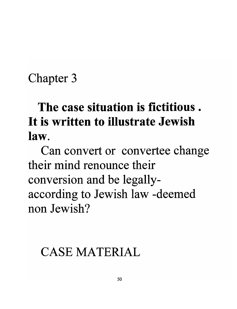### Chapter 3

# **The case situation is fictitious. It is written to illustrate Jewish law.**

Can convert or convertee change their mind renounce their conversion and be legallyaccording to Jewish law -deemed non Jewish?

## CASE MATERIAL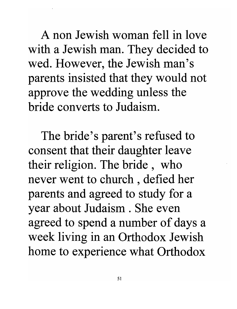A non Jewish woman fell in love with a Jewish man. They decided to wed. However, the Jewish man's parents insisted that they would not approve the wedding unless the bride converts to Judaism.

The bride's parent's refused to consent that their daughter leave their religion. The bride, who never went to church , defied her parents and agreed to study for a year about Judaism . She even agreed to spend a number of days a week living in an Orthodox Jewish home to experience what Orthodox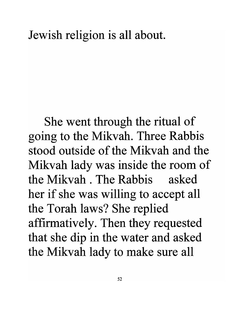#### Jewish religion is all about.

She went through the ritual of going to the Mikvah. Three Rabbis stood outside of the Mikvah and the Mikvah lady was inside the room of the Mikvah . The Rabbis asked her if she was willing to accept all the Torah laws? She replied affirmatively. Then they requested that she dip in the water and asked the Mikvah lady to make sure all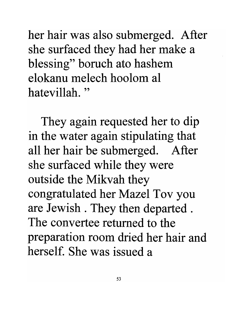her hair was also submerged. After she surfaced they had her make a blessing" boruch ato hashem elokanu melech hoolom al hatevillah. "

They again requested her to dip in the water again stipulating that all her hair be submerged. After she surfaced while they were outside the Mikvah they congratulated her Mazel Tov you are Jewish . They then departed . The convertee returned to the preparation room dried her hair and herself. She was issued a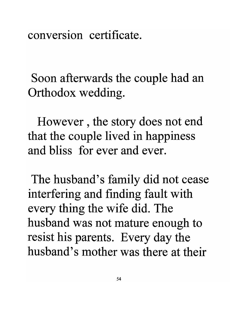conversion certificate.

Soon afterwards the couple had an Orthodox wedding.

However , the story does not end that the couple lived in happiness and bliss for ever and ever.

The husband's family did not cease interfering and finding fault with every thing the wife did. The husband was not mature enough to resist his parents. Every day the husband's mother was there at their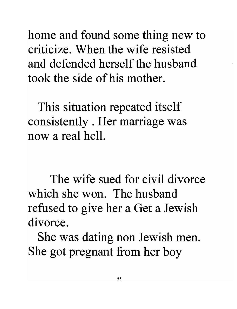home and found some thing new to criticize. When the wife resisted and defended herself the husband took the side of his mother.

This situation repeated itself consistently . Her marriage was now a real hell.

The wife sued for civil divorce which she won. The husband refused to give her a Get a Jewish divorce.

She was dating non Jewish men. She got pregnant from her boy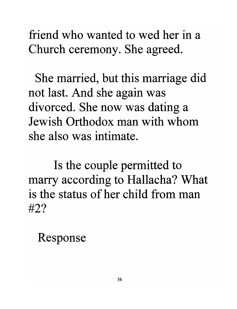friend who wanted to wed her in a Church ceremony. She agreed.

She married, but this marriage did not last. And she again was divorced. She now was dating a Jewish Orthodox man with whom she also was intimate.

Is the couple permitted to marry according to Hallacha? What is the status of her child from man #2?

Response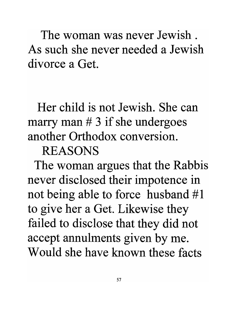The woman was never Jewish . As such she never needed a Jewish divorce a Get.

### Her child is not Jewish. She can marry man  $# 3$  if she undergoes another Orthodox conversion.

#### REASONS

The woman argues that the Rabbis never disclosed their impotence in not being able to force husband #1 to give her a Get. Likewise they failed to disclose that they did not accept annulments given by me. Would she have known these facts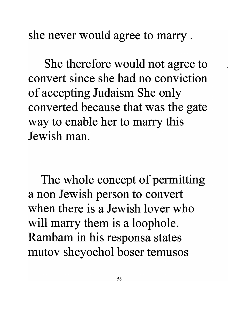she never would agree to marry .

She therefore would not agree to convert since she had no conviction of accepting Judaism She only converted because that was the gate way to enable her to marry this Jewish man.

The whole concept of permitting a non Jewish person to convert when there is a Jewish lover who will marry them is a loophole. Rambam in his responsa states mutov sheyochol boser temusos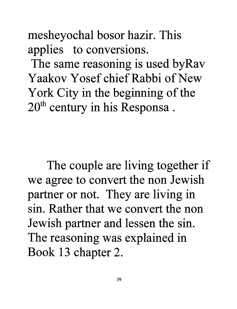mesheyochal bosor hazir. This applies to conversions.

The same reasoning is used byRav Yaakov Yosef chief Rabbi of New York City in the beginning of the 20<sup>th</sup> century in his Responsa.

The couple are living together if we agree to convert the non Jewish partner or not. They are living in sin. Rather that we convert the non Jewish partner and lessen the sin. The reasoning was explained in Book 13 chapter 2.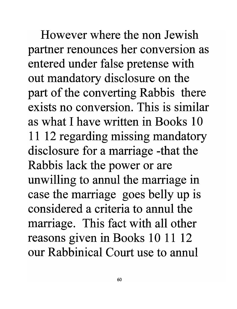However where the non Jewish partner renounces her conversion as entered under false pretense with out mandatory disclosure on the part of the converting Rabbis there exists no conversion. This is similar as what I have written in Books 10 11 12 regarding missing mandatory disclosure for a marriage -that the Rabbis lack the power or are unwilling to annul the marriage in case the marriage goes belly up is considered a criteria to annul the marriage. This fact with all other reasons given in Books 10 11 12 our Rabbinical Court use to annul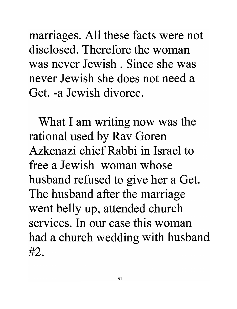marriages. All these facts were not disclosed. Therefore the woman was never Jewish. Since she was never Jewish she does not need a Get. -a Jewish divorce.

What I am writing now was the rational used by Rav Goren Azkenazi chief Rabbi in Israel to free a Jewish woman whose husband refused to give her a Get. The husband after the marriage went belly up, attended church services. In our case this woman had a church wedding with husband #2.